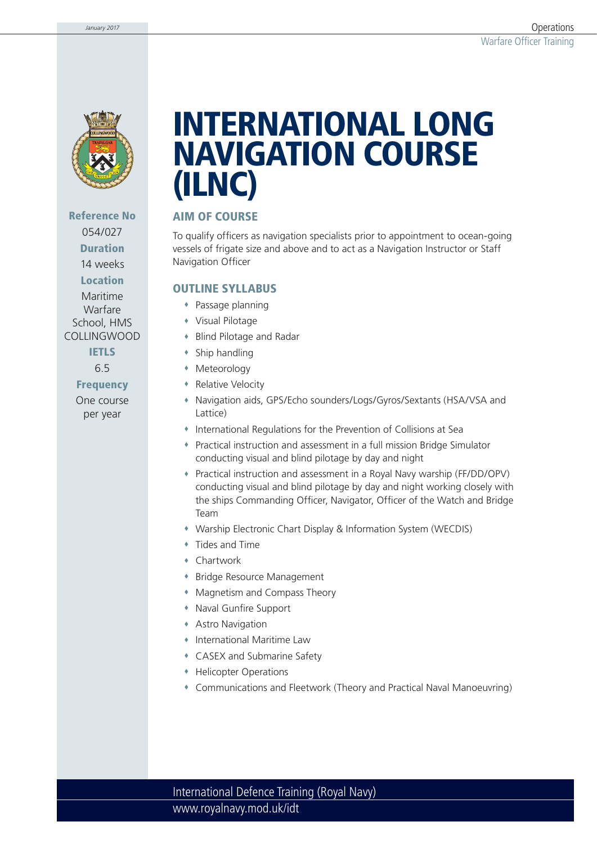

**Reference No** 054/027 **Duration**

14 weeks **Location**

Maritime Warfare School, HMS COLLINGWOOD

> **IETLS** 6.5

**Frequency** One course per year

# **INTERNATIONAL LONG NAVIGATION COURSE (ILNC)**

### **AIM OF COURSE**

To qualify officers as navigation specialists prior to appointment to ocean-going vessels of frigate size and above and to act as a Navigation Instructor or Staff Navigation Officer

#### **OUTLINE SYLLABUS**

- Passage planning
- Visual Pilotage
- Blind Pilotage and Radar
- Ship handling
- Meteorology
- **\*** Relative Velocity
- Navigation aids, GPS/Echo sounders/Logs/Gyros/Sextants (HSA/VSA and Lattice)
- International Regulations for the Prevention of Collisions at Sea
- Practical instruction and assessment in a full mission Bridge Simulator conducting visual and blind pilotage by day and night
- Practical instruction and assessment in a Royal Navy warship (FF/DD/OPV) conducting visual and blind pilotage by day and night working closely with the ships Commanding Officer, Navigator, Officer of the Watch and Bridge Team
- Warship Electronic Chart Display & Information System (WECDIS)
- Tides and Time
- Chartwork
- Bridge Resource Management
- Magnetism and Compass Theory
- Naval Gunfire Support
- Astro Navigation
- International Maritime Law
- CASEX and Submarine Safety
- Helicopter Operations
- Communications and Fleetwork (Theory and Practical Naval Manoeuvring)